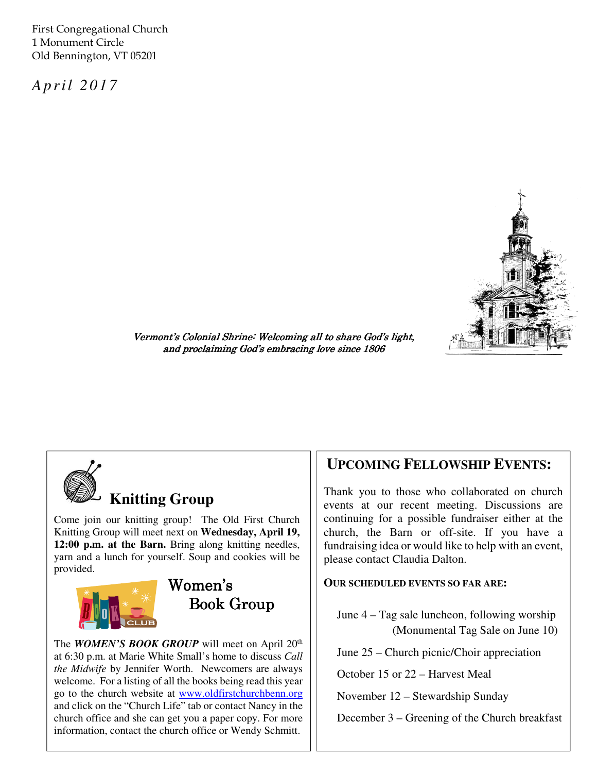First Congregational Church 1 Monument Circle Old Bennington, VT 05201

*A p r il 2 0 1 7* 



Vermont's Colonial Shrine: Welcoming all to share God's light, and proclaiming God's embracing love since 1806



# **Knitting Group**

Come join our knitting group! The Old First Church Knitting Group will meet next on **Wednesday, April 19, 12:00 p.m. at the Barn.** Bring along knitting needles, yarn and a lunch for yourself. Soup and cookies will be provided.





The *WOMEN'S BOOK GROUP* will meet on April 20<sup>th</sup> at 6:30 p.m. at Marie White Small's home to discuss *Call the Midwife* by Jennifer Worth. Newcomers are always welcome. For a listing of all the books being read this year go to the church website at www.oldfirstchurchbenn.org and click on the "Church Life" tab or contact Nancy in the church office and she can get you a paper copy. For more information, contact the church office or Wendy Schmitt.

## **UPCOMING FELLOWSHIP EVENTS:**

Thank you to those who collaborated on church events at our recent meeting. Discussions are continuing for a possible fundraiser either at the church, the Barn or off-site. If you have a fundraising idea or would like to help with an event, please contact Claudia Dalton.

#### **OUR SCHEDULED EVENTS SO FAR ARE:**

June 4 – Tag sale luncheon, following worship (Monumental Tag Sale on June 10)

June 25 – Church picnic/Choir appreciation

October 15 or 22 – Harvest Meal

November 12 – Stewardship Sunday

December 3 – Greening of the Church breakfast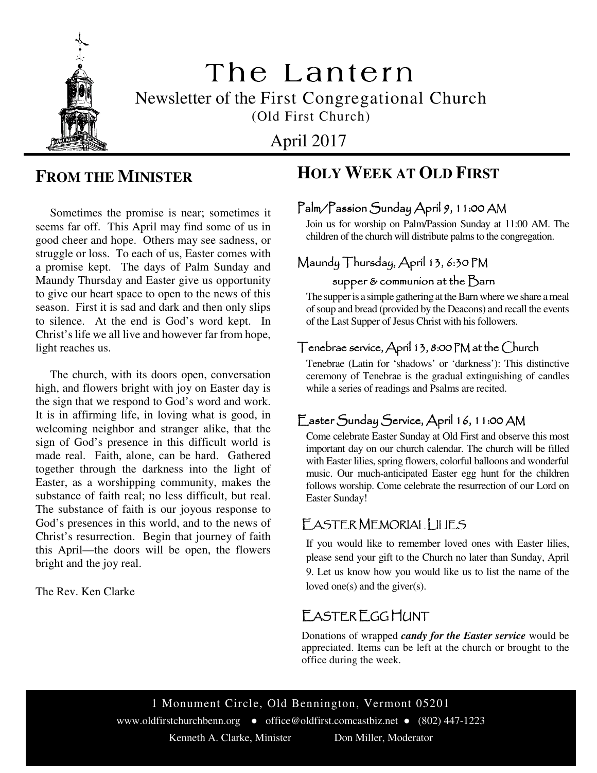

# The Lantern Newsletter of the First Congregational Church (Old First Church)

April 2017

# **FROM THE MINISTER**

 Sometimes the promise is near; sometimes it seems far off. This April may find some of us in good cheer and hope. Others may see sadness, or struggle or loss. To each of us, Easter comes with a promise kept. The days of Palm Sunday and Maundy Thursday and Easter give us opportunity to give our heart space to open to the news of this season. First it is sad and dark and then only slips to silence. At the end is God's word kept. In Christ's life we all live and however far from hope, light reaches us.

 The church, with its doors open, conversation high, and flowers bright with joy on Easter day is the sign that we respond to God's word and work. It is in affirming life, in loving what is good, in welcoming neighbor and stranger alike, that the sign of God's presence in this difficult world is made real. Faith, alone, can be hard. Gathered together through the darkness into the light of Easter, as a worshipping community, makes the substance of faith real; no less difficult, but real. The substance of faith is our joyous response to God's presences in this world, and to the news of Christ's resurrection. Begin that journey of faith this April—the doors will be open, the flowers bright and the joy real.

The Rev. Ken Clarke

# **HOLY WEEK AT OLD FIRST**

## Palm/Passion Sunday April 9, 11:00 AM

Join us for worship on Palm/Passion Sunday at 11:00 AM. The children of the church will distribute palms to the congregation.

# Maundy Thursday, April 13, 6:30 PM

#### supper & communion at the  $\beta$ arn

The supper is a simple gathering at the Barn where we share a meal of soup and bread (provided by the Deacons) and recall the events of the Last Supper of Jesus Christ with his followers.

#### Tenebrae service, April 13, 8:00 PM at the Church

Tenebrae (Latin for 'shadows' or 'darkness'): This distinctive ceremony of Tenebrae is the gradual extinguishing of candles while a series of readings and Psalms are recited.

## Easter Sunday Service, April 16, 11:00 AM

Come celebrate Easter Sunday at Old First and observe this most important day on our church calendar. The church will be filled with Easter lilies, spring flowers, colorful balloons and wonderful music. Our much-anticipated Easter egg hunt for the children follows worship. Come celebrate the resurrection of our Lord on Easter Sunday!

#### EASTER MEMORIAL LILIES

If you would like to remember loved ones with Easter lilies, please send your gift to the Church no later than Sunday, April 9. Let us know how you would like us to list the name of the loved one(s) and the giver(s).

# EASTER EGG HUNT

Donations of wrapped *candy for the Easter service* would be appreciated. Items can be left at the church or brought to the office during the week.

1 Monument Circle, Old Bennington, Vermont 05201 www.oldfirstchurchbenn.org ● office@oldfirst.comcastbiz.net ● (802) 447-1223 Kenneth A. Clarke, Minister Don Miller, Moderator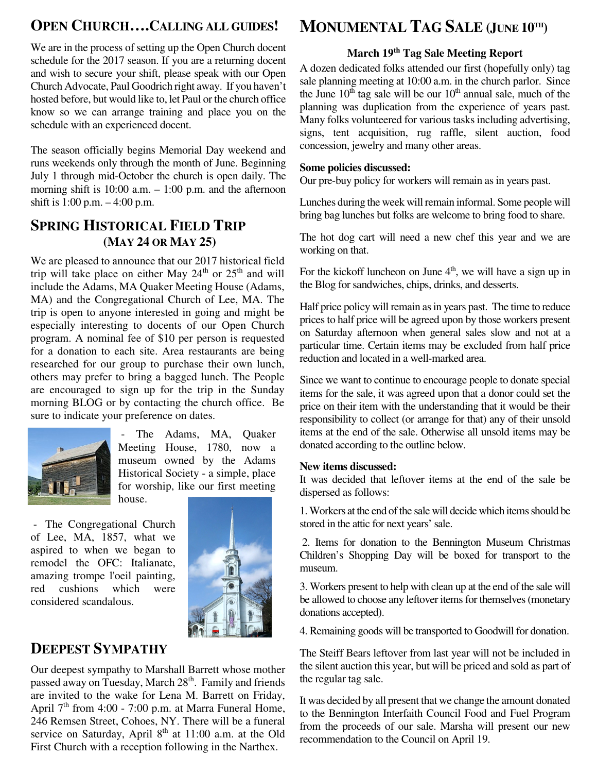# **OPEN CHURCH….CALLING ALL GUIDES!**

schedule for the 2017 season. If you are a returning docent We are in the process of setting up the Open Church docent and wish to secure your shift, please speak with our Open Church Advocate, Paul Goodrich right away. If you haven't hosted before, but would like to, let Paul or the church office know so we can arrange training and place you on the schedule with an experienced docent.

The season officially begins Memorial Day weekend and runs weekends only through the month of June. Beginning July 1 through mid-October the church is open daily. The morning shift is  $10:00$  a.m.  $-1:00$  p.m. and the afternoon shift is 1:00 p.m. – 4:00 p.m.

### **SPRING HISTORICAL FIELD TRIP (MAY 24 OR MAY 25)**

We are pleased to announce that our 2017 historical field trip will take place on either May  $24<sup>th</sup>$  or  $25<sup>th</sup>$  and will include the Adams, MA Quaker Meeting House (Adams, MA) and the Congregational Church of Lee, MA. The trip is open to anyone interested in going and might be especially interesting to docents of our Open Church program. A nominal fee of \$10 per person is requested for a donation to each site. Area restaurants are being researched for our group to purchase their own lunch, others may prefer to bring a bagged lunch. The People are encouraged to sign up for the trip in the Sunday morning BLOG or by contacting the church office. Be sure to indicate your preference on dates.



 - The Adams, MA, Quaker Meeting House, 1780, now a museum owned by the Adams Historical Society - a simple, place for worship, like our first meeting house.

 - The Congregational Church of Lee, MA, 1857, what we aspired to when we began to remodel the OFC: Italianate, amazing trompe l'oeil painting, red cushions which were considered scandalous.



# **DEEPEST SYMPATHY**

Our deepest sympathy to Marshall Barrett whose mother passed away on Tuesday, March 28<sup>th</sup>. Family and friends are invited to the wake for Lena M. Barrett on Friday, April  $7<sup>th</sup>$  from 4:00 - 7:00 p.m. at Marra Funeral Home, 246 Remsen Street, Cohoes, NY. There will be a funeral service on Saturday, April 8<sup>th</sup> at 11:00 a.m. at the Old First Church with a reception following in the Narthex.

# **MONUMENTAL TAG SALE (JUNE 10TH)**

## **March 19th Tag Sale Meeting Report**

A dozen dedicated folks attended our first (hopefully only) tag sale planning meeting at 10:00 a.m. in the church parlor. Since the June  $10^{th}$  tag sale will be our  $10^{th}$  annual sale, much of the planning was duplication from the experience of years past. Many folks volunteered for various tasks including advertising, signs, tent acquisition, rug raffle, silent auction, food concession, jewelry and many other areas.

#### **Some policies discussed:**

Our pre-buy policy for workers will remain as in years past.

Lunches during the week will remain informal. Some people will bring bag lunches but folks are welcome to bring food to share.

The hot dog cart will need a new chef this year and we are working on that.

For the kickoff luncheon on June  $4<sup>th</sup>$ , we will have a sign up in the Blog for sandwiches, chips, drinks, and desserts.

Half price policy will remain as in years past. The time to reduce prices to half price will be agreed upon by those workers present on Saturday afternoon when general sales slow and not at a particular time. Certain items may be excluded from half price reduction and located in a well-marked area.

Since we want to continue to encourage people to donate special items for the sale, it was agreed upon that a donor could set the price on their item with the understanding that it would be their responsibility to collect (or arrange for that) any of their unsold items at the end of the sale. Otherwise all unsold items may be donated according to the outline below.

#### **New items discussed:**

It was decided that leftover items at the end of the sale be dispersed as follows:

1. Workers at the end of the sale will decide which items should be stored in the attic for next years' sale.

 2. Items for donation to the Bennington Museum Christmas Children's Shopping Day will be boxed for transport to the museum.

3. Workers present to help with clean up at the end of the sale will be allowed to choose any leftover items for themselves (monetary donations accepted).

4. Remaining goods will be transported to Goodwill for donation.

The Steiff Bears leftover from last year will not be included in the silent auction this year, but will be priced and sold as part of the regular tag sale.

It was decided by all present that we change the amount donated to the Bennington Interfaith Council Food and Fuel Program from the proceeds of our sale. Marsha will present our new recommendation to the Council on April 19.